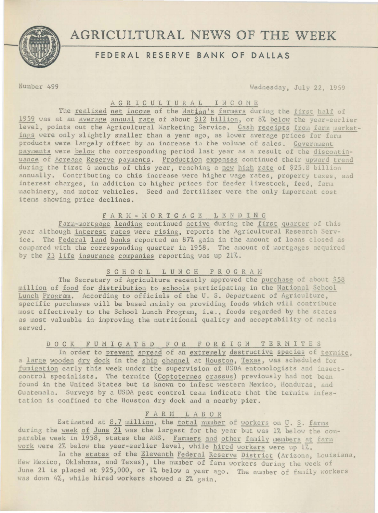

# AGRICULTURAL NEWS OF THE WEEK

# FEDERAL RESERVE BANK OF DALLAS

Number 499

Wednesday, July 22, 1959

# AGRICULTURAL INCOME

The realized net income of the Nation's farmers during the first half of 1959 was at an average annual rate of about \$12 billion, or 8% below the year-earlier level, points out the Agricultural Marketing Service. Cash receipts from farm marketings were only slightly smaller than a year ago, as lower average prices for farm products were largely offset by an increase in the volume of sales. Government payments were below the corresponding period last year as a result of the discontinuance of Acreage Reserve payments. Production expenses continued their upward trend during the first 6 months of this year, reaching a new high rate of \$25.8 billion annually. Contributing to this increase were higher wage rates, property taxes, and interest charges, in addition to higher prices for feeder livestock, feed, farm machinery, and motor vehicles. Seed and fertilizer were the only important cost items showing price declines.

FARM - MORTGAGE LENDING<br>Farm-mortgage lending continued active during the first quarter of this year although interest rates were rising, reports the Agricultural Research Service. The Federal land banks reported an 87% gain in the amount of loans closed as compared with the corresponding quarter in 1958. The amount of mortgages acquired by the 23 life insurance companies reporting was up 21%.

#### SCHOOL LUNCH PROGRAM

The Secretary of Agriculture recently approved the purchase of about \$58 million of food for distribution to schools participating in the National School Lunch Program. According to officials of the U.S. Department of Agriculture, specific purchases will be based mainly on providing foods which will contribute most effectively to the School Lunch Program, i.e., foods regarded by the states as most valuable in improving the nutritional quality and acceptability of meals served.

## DOCK FUMIGATED FOR FOREIGN TERMITES

In order to prevent spread of an extremely destructive species of termite, a large wooden dry dock in the ship channel at Houston, Texas, was scheduled for fumigation early this week under the supervision of USDA entomologists and insectcontrol specialists. The termite (Coptotermes crassus) previously had not been found in the United States but is known to infest western Mexico, Honduras, and Guatemala. Surveys by a USDA pest control team indicate that the termite infestation is confined to the Houston dry dock and a nearby pier.

### FARM LABOR

Estimated at 8.7 million, the total number of workers on U. S. farms during the week of June 21 was the largest for the year but was 1% below the comparable week in 1958, states the AMS. Farmers and other family members at farm work were 2% below the year-earlier level, while hired workers were up 1%.

In the states of the Eleventh Federal Reserve District (Arizona, Louisiana, New Mexico, Oklahoma, and Texas), the number of farm workers during the week of June 21 is placed at 925,000, or 1% below a year ago. The number of family workers was down 4%, while hired workers showed a 2% gain.